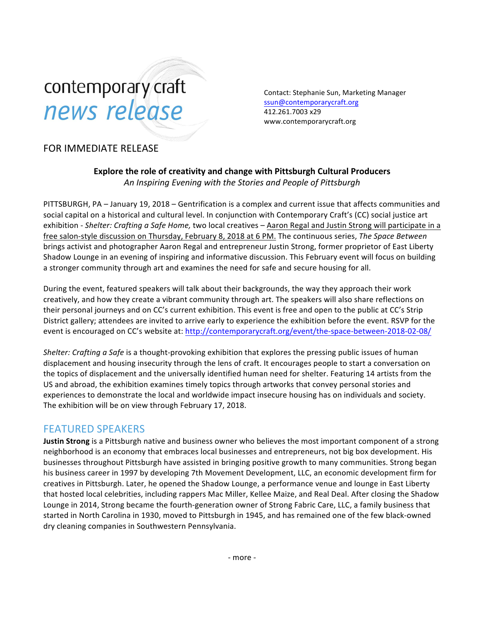# contemporary craft news release

Contact: Stephanie Sun, Marketing Manager [ssun@contemporarycraft.org](mailto:ssun@contemporarycraft.org) 412.261.7003 x29 www.contemporarycraft.org

## FOR IMMEDIATE RELEASE

**Explore the role of creativity and change with Pittsburgh Cultural Producers** *An Inspiring Evening with the Stories and People of Pittsburgh*

PITTSBURGH, PA - January 19, 2018 - Gentrification is a complex and current issue that affects communities and social capital on a historical and cultural level. In conjunction with Contemporary Craft's (CC) social justice art exhibition - Shelter: Crafting a Safe Home, two local creatives – Aaron Regal and Justin Strong will participate in a free salon-style discussion on Thursday, February 8, 2018 at 6 PM. The continuous series, *The Space Between* brings activist and photographer Aaron Regal and entrepreneur Justin Strong, former proprietor of East Liberty Shadow Lounge in an evening of inspiring and informative discussion. This February event will focus on building a stronger community through art and examines the need for safe and secure housing for all.

During the event, featured speakers will talk about their backgrounds, the way they approach their work creatively, and how they create a vibrant community through art. The speakers will also share reflections on their personal journeys and on CC's current exhibition. This event is free and open to the public at CC's Strip District gallery; attendees are invited to arrive early to experience the exhibition before the event. RSVP for the event is encouraged on CC's website at: http://contemporarycraft.org/event/the-space-between-2018-02-08/

*Shelter: Crafting a Safe* is a thought-provoking exhibition that explores the pressing public issues of human displacement and housing insecurity through the lens of craft. It encourages people to start a conversation on the topics of displacement and the universally identified human need for shelter. Featuring 14 artists from the US and abroad, the exhibition examines timely topics through artworks that convey personal stories and experiences to demonstrate the local and worldwide impact insecure housing has on individuals and society. The exhibition will be on view through February 17, 2018.

#### FEATURED SPEAKERS

**Justin Strong** is a Pittsburgh native and business owner who believes the most important component of a strong neighborhood is an economy that embraces local businesses and entrepreneurs, not big box development. His businesses throughout Pittsburgh have assisted in bringing positive growth to many communities. Strong began his business career in 1997 by developing 7th Movement Development, LLC, an economic development firm for creatives in Pittsburgh. Later, he opened the Shadow Lounge, a performance venue and lounge in East Liberty that hosted local celebrities, including rappers Mac Miller, Kellee Maize, and Real Deal. After closing the Shadow Lounge in 2014, Strong became the fourth-generation owner of Strong Fabric Care, LLC, a family business that started in North Carolina in 1930, moved to Pittsburgh in 1945, and has remained one of the few black-owned dry cleaning companies in Southwestern Pennsylvania.